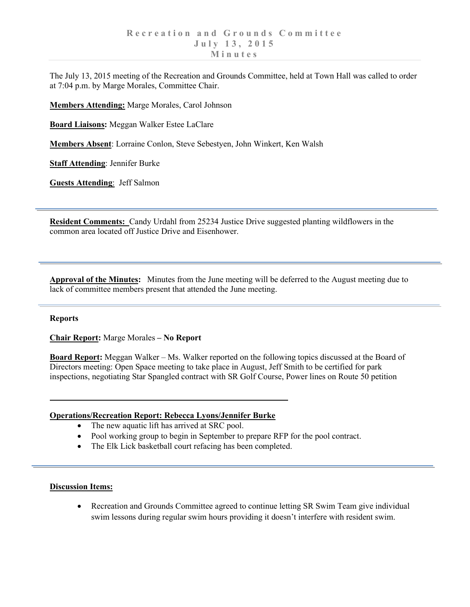The July 13, 2015 meeting of the Recreation and Grounds Committee, held at Town Hall was called to order at 7:04 p.m. by Marge Morales, Committee Chair.

**Members Attending:** Marge Morales, Carol Johnson

**Board Liaisons:** Meggan Walker Estee LaClare

**Members Absent**: Lorraine Conlon, Steve Sebestyen, John Winkert, Ken Walsh

**Staff Attending**: Jennifer Burke

**Guests Attending**: Jeff Salmon

**Resident Comments:** Candy Urdahl from 25234 Justice Drive suggested planting wildflowers in the common area located off Justice Drive and Eisenhower.

**Approval of the Minutes:** Minutes from the June meeting will be deferred to the August meeting due to lack of committee members present that attended the June meeting.

## **Reports**

**Chair Report:** Marge Morales **– No Report**

**Board Report:** Meggan Walker – Ms. Walker reported on the following topics discussed at the Board of Directors meeting: Open Space meeting to take place in August, Jeff Smith to be certified for park inspections, negotiating Star Spangled contract with SR Golf Course, Power lines on Route 50 petition

## **Operations/Recreation Report: Rebecca Lyons/Jennifer Burke**

- The new aquatic lift has arrived at SRC pool.
- Pool working group to begin in September to prepare RFP for the pool contract.
- The Elk Lick basketball court refacing has been completed.

## **Discussion Items:**

• Recreation and Grounds Committee agreed to continue letting SR Swim Team give individual swim lessons during regular swim hours providing it doesn't interfere with resident swim.